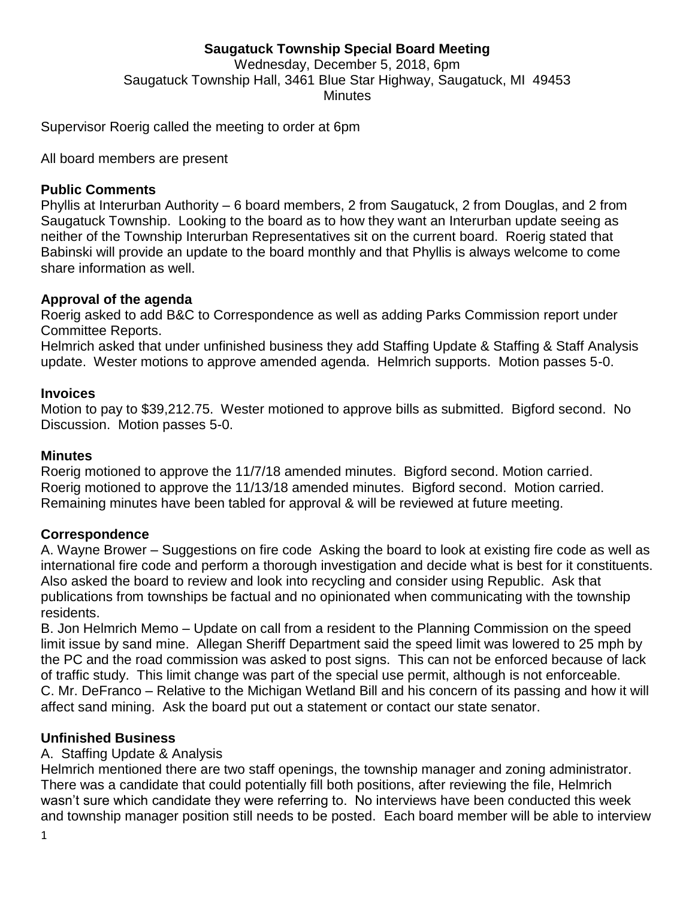## **Saugatuck Township Special Board Meeting** Wednesday, December 5, 2018, 6pm Saugatuck Township Hall, 3461 Blue Star Highway, Saugatuck, MI 49453 **Minutes**

Supervisor Roerig called the meeting to order at 6pm

All board members are present

#### **Public Comments**

Phyllis at Interurban Authority – 6 board members, 2 from Saugatuck, 2 from Douglas, and 2 from Saugatuck Township. Looking to the board as to how they want an Interurban update seeing as neither of the Township Interurban Representatives sit on the current board. Roerig stated that Babinski will provide an update to the board monthly and that Phyllis is always welcome to come share information as well.

#### **Approval of the agenda**

Roerig asked to add B&C to Correspondence as well as adding Parks Commission report under Committee Reports.

Helmrich asked that under unfinished business they add Staffing Update & Staffing & Staff Analysis update. Wester motions to approve amended agenda. Helmrich supports. Motion passes 5-0.

#### **Invoices**

Motion to pay to \$39,212.75. Wester motioned to approve bills as submitted. Bigford second. No Discussion. Motion passes 5-0.

#### **Minutes**

Roerig motioned to approve the 11/7/18 amended minutes. Bigford second. Motion carried. Roerig motioned to approve the 11/13/18 amended minutes. Bigford second. Motion carried. Remaining minutes have been tabled for approval & will be reviewed at future meeting.

### **Correspondence**

A. Wayne Brower – Suggestions on fire code Asking the board to look at existing fire code as well as international fire code and perform a thorough investigation and decide what is best for it constituents. Also asked the board to review and look into recycling and consider using Republic. Ask that publications from townships be factual and no opinionated when communicating with the township residents.

B. Jon Helmrich Memo – Update on call from a resident to the Planning Commission on the speed limit issue by sand mine. Allegan Sheriff Department said the speed limit was lowered to 25 mph by the PC and the road commission was asked to post signs. This can not be enforced because of lack of traffic study. This limit change was part of the special use permit, although is not enforceable. C. Mr. DeFranco – Relative to the Michigan Wetland Bill and his concern of its passing and how it will affect sand mining. Ask the board put out a statement or contact our state senator.

### **Unfinished Business**

### A. Staffing Update & Analysis

Helmrich mentioned there are two staff openings, the township manager and zoning administrator. There was a candidate that could potentially fill both positions, after reviewing the file, Helmrich wasn't sure which candidate they were referring to. No interviews have been conducted this week and township manager position still needs to be posted. Each board member will be able to interview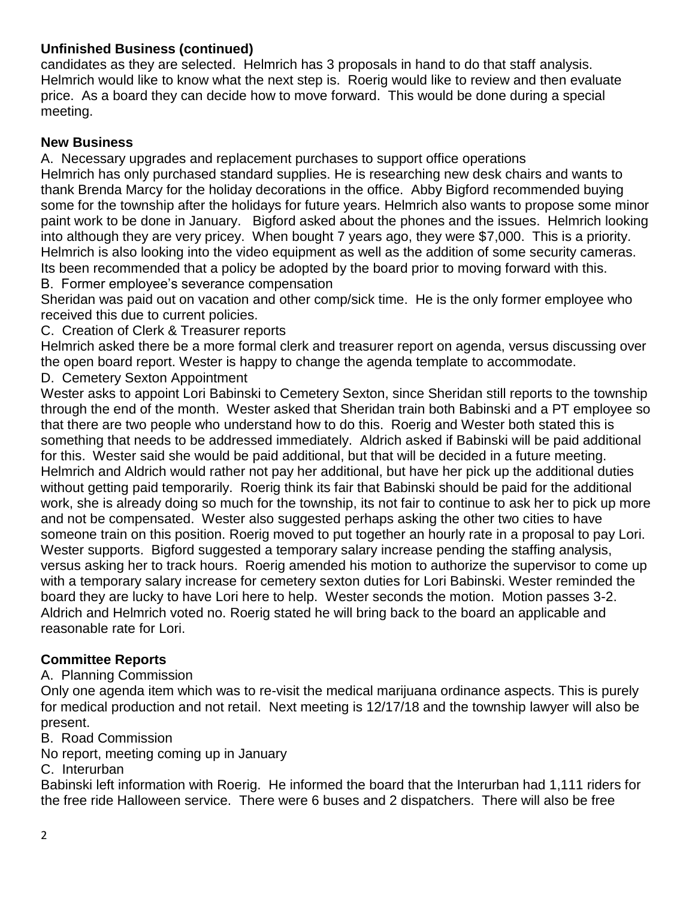# **Unfinished Business (continued)**

candidates as they are selected. Helmrich has 3 proposals in hand to do that staff analysis. Helmrich would like to know what the next step is. Roerig would like to review and then evaluate price. As a board they can decide how to move forward. This would be done during a special meeting.

# **New Business**

A. Necessary upgrades and replacement purchases to support office operations Helmrich has only purchased standard supplies. He is researching new desk chairs and wants to thank Brenda Marcy for the holiday decorations in the office. Abby Bigford recommended buying some for the township after the holidays for future years. Helmrich also wants to propose some minor paint work to be done in January. Bigford asked about the phones and the issues. Helmrich looking into although they are very pricey. When bought 7 years ago, they were \$7,000. This is a priority. Helmrich is also looking into the video equipment as well as the addition of some security cameras. Its been recommended that a policy be adopted by the board prior to moving forward with this. B. Former employee's severance compensation

Sheridan was paid out on vacation and other comp/sick time. He is the only former employee who received this due to current policies.

C. Creation of Clerk & Treasurer reports

Helmrich asked there be a more formal clerk and treasurer report on agenda, versus discussing over the open board report. Wester is happy to change the agenda template to accommodate.

D. Cemetery Sexton Appointment

Wester asks to appoint Lori Babinski to Cemetery Sexton, since Sheridan still reports to the township through the end of the month. Wester asked that Sheridan train both Babinski and a PT employee so that there are two people who understand how to do this. Roerig and Wester both stated this is something that needs to be addressed immediately. Aldrich asked if Babinski will be paid additional for this. Wester said she would be paid additional, but that will be decided in a future meeting. Helmrich and Aldrich would rather not pay her additional, but have her pick up the additional duties without getting paid temporarily. Roerig think its fair that Babinski should be paid for the additional work, she is already doing so much for the township, its not fair to continue to ask her to pick up more and not be compensated. Wester also suggested perhaps asking the other two cities to have someone train on this position. Roerig moved to put together an hourly rate in a proposal to pay Lori. Wester supports. Bigford suggested a temporary salary increase pending the staffing analysis, versus asking her to track hours. Roerig amended his motion to authorize the supervisor to come up with a temporary salary increase for cemetery sexton duties for Lori Babinski. Wester reminded the board they are lucky to have Lori here to help. Wester seconds the motion. Motion passes 3-2. Aldrich and Helmrich voted no. Roerig stated he will bring back to the board an applicable and reasonable rate for Lori.

# **Committee Reports**

A. Planning Commission

Only one agenda item which was to re-visit the medical marijuana ordinance aspects. This is purely for medical production and not retail. Next meeting is 12/17/18 and the township lawyer will also be present.

B. Road Commission

No report, meeting coming up in January

C. Interurban

Babinski left information with Roerig. He informed the board that the Interurban had 1,111 riders for the free ride Halloween service. There were 6 buses and 2 dispatchers. There will also be free